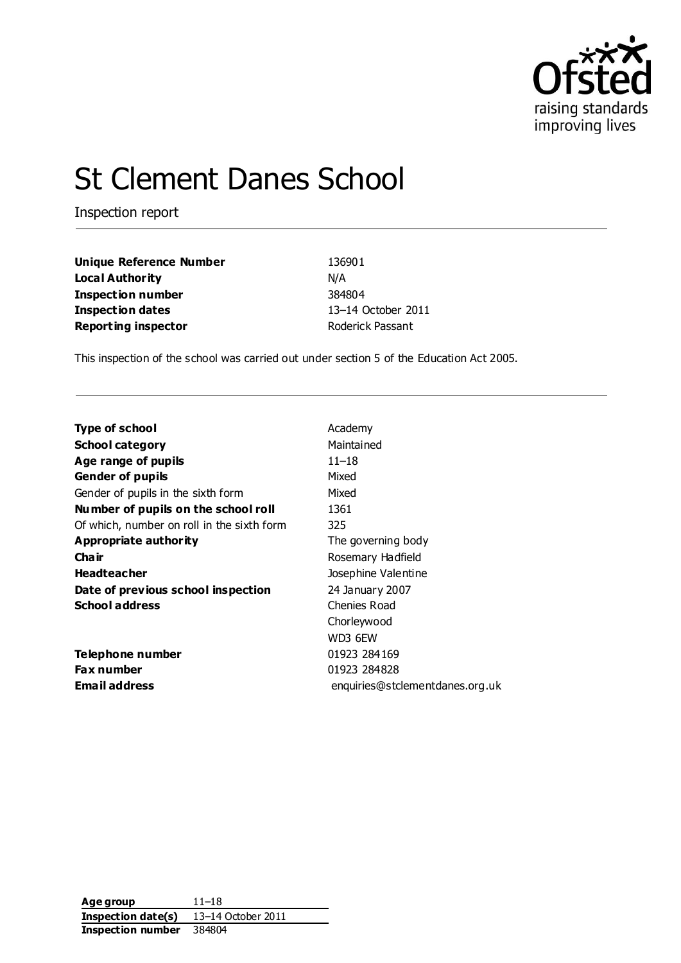

# St Clement Danes School

Inspection report

| Unique Reference Number    | 136901             |
|----------------------------|--------------------|
| Local Authority            | N/A                |
| Inspection number          | 384804             |
| Inspection dates           | 13-14 October 2011 |
| <b>Reporting inspector</b> | Roderick Passant   |

This inspection of the school was carried out under section 5 of the Education Act 2005.

| Type of school                             | Academy                         |
|--------------------------------------------|---------------------------------|
| <b>School category</b>                     | Maintained                      |
| Age range of pupils                        | 11–18                           |
| <b>Gender of pupils</b>                    | Mixed                           |
| Gender of pupils in the sixth form         | Mixed                           |
| Number of pupils on the school roll        | 1361                            |
| Of which, number on roll in the sixth form | 325                             |
| Appropriate authority                      | The governing body              |
| Cha ir                                     | Rosemary Hadfield               |
| <b>Headteacher</b>                         | Josephine Valentine             |
| Date of previous school inspection         | 24 January 2007                 |
| <b>School address</b>                      | Chenies Road                    |
|                                            | Chorleywood                     |
|                                            | WD3 6EW                         |
| Telephone number                           | 01923 284169                    |
| Fax number                                 | 01923 284828                    |
| <b>Email address</b>                       | enquiries@stclementdanes.org.uk |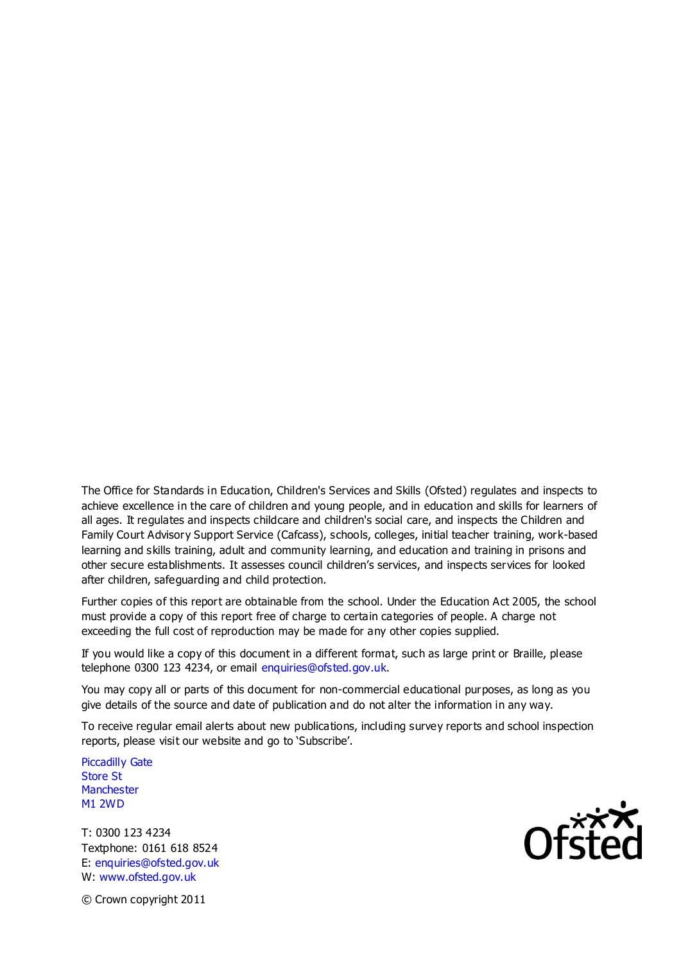The Office for Standards in Education, Children's Services and Skills (Ofsted) regulates and inspects to achieve excellence in the care of children and young people, and in education and skills for learners of all ages. It regulates and inspects childcare and children's social care, and inspects the Children and Family Court Advisory Support Service (Cafcass), schools, colleges, initial teacher training, work-based learning and skills training, adult and community learning, and education and training in prisons and other secure establishments. It assesses council children's services, and inspects services for looked after children, safeguarding and child protection.

Further copies of this report are obtainable from the school. Under the Education Act 2005, the school must provide a copy of this report free of charge to certain categories of people. A charge not exceeding the full cost of reproduction may be made for any other copies supplied.

If you would like a copy of this document in a different format, such as large print or Braille, please telephone 0300 123 4234, or email enquiries@ofsted.gov.uk.

You may copy all or parts of this document for non-commercial educational purposes, as long as you give details of the source and date of publication and do not alter the information in any way.

To receive regular email alerts about new publications, including survey reports and school inspection reports, please visit our website and go to 'Subscribe'.

Piccadilly Gate Store St **Manchester** M1 2WD

T: 0300 123 4234 Textphone: 0161 618 8524 E: enquiries@ofsted.gov.uk W: www.ofsted.gov.uk



© Crown copyright 2011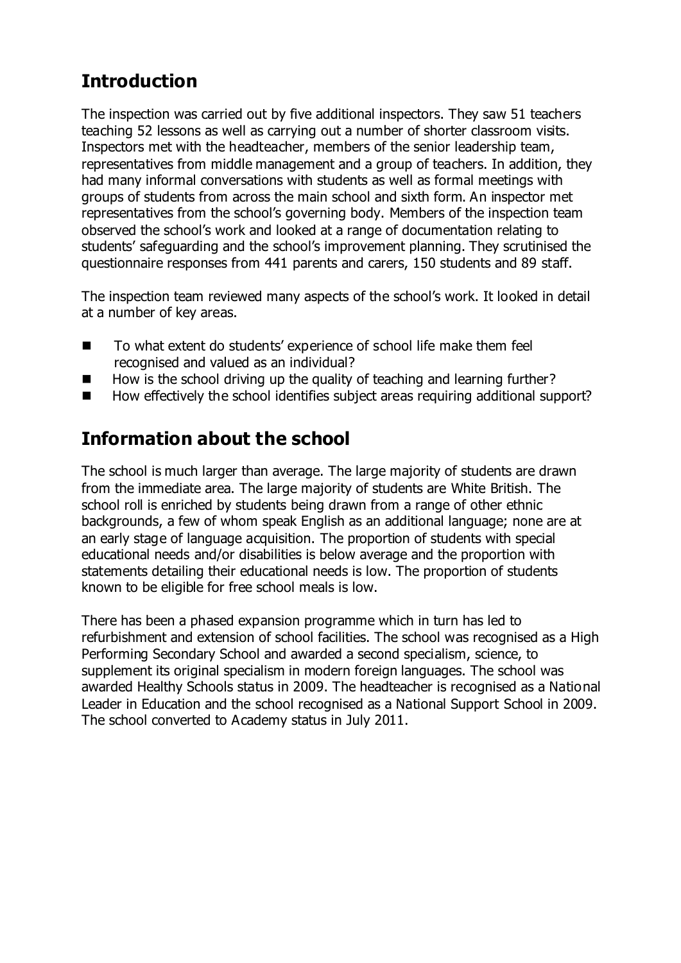# **Introduction**

The inspection was carried out by five additional inspectors. They saw 51 teachers teaching 52 lessons as well as carrying out a number of shorter classroom visits. Inspectors met with the headteacher, members of the senior leadership team, representatives from middle management and a group of teachers. In addition, they had many informal conversations with students as well as formal meetings with groups of students from across the main school and sixth form. An inspector met representatives from the school's governing body. Members of the inspection team observed the school's work and looked at a range of documentation relating to students' safeguarding and the school's improvement planning. They scrutinised the questionnaire responses from 441 parents and carers, 150 students and 89 staff.

The inspection team reviewed many aspects of the school's work. It looked in detail at a number of key areas.

- To what extent do students' experience of school life make them feel recognised and valued as an individual?
- $\blacksquare$  How is the school driving up the quality of teaching and learning further?
- How effectively the school identifies subject areas requiring additional support?

# **Information about the school**

The school is much larger than average. The large majority of students are drawn from the immediate area. The large majority of students are White British. The school roll is enriched by students being drawn from a range of other ethnic backgrounds, a few of whom speak English as an additional language; none are at an early stage of language acquisition. The proportion of students with special educational needs and/or disabilities is below average and the proportion with statements detailing their educational needs is low. The proportion of students known to be eligible for free school meals is low.

There has been a phased expansion programme which in turn has led to refurbishment and extension of school facilities. The school was recognised as a High Performing Secondary School and awarded a second specialism, science, to supplement its original specialism in modern foreign languages. The school was awarded Healthy Schools status in 2009. The headteacher is recognised as a National Leader in Education and the school recognised as a National Support School in 2009. The school converted to Academy status in July 2011.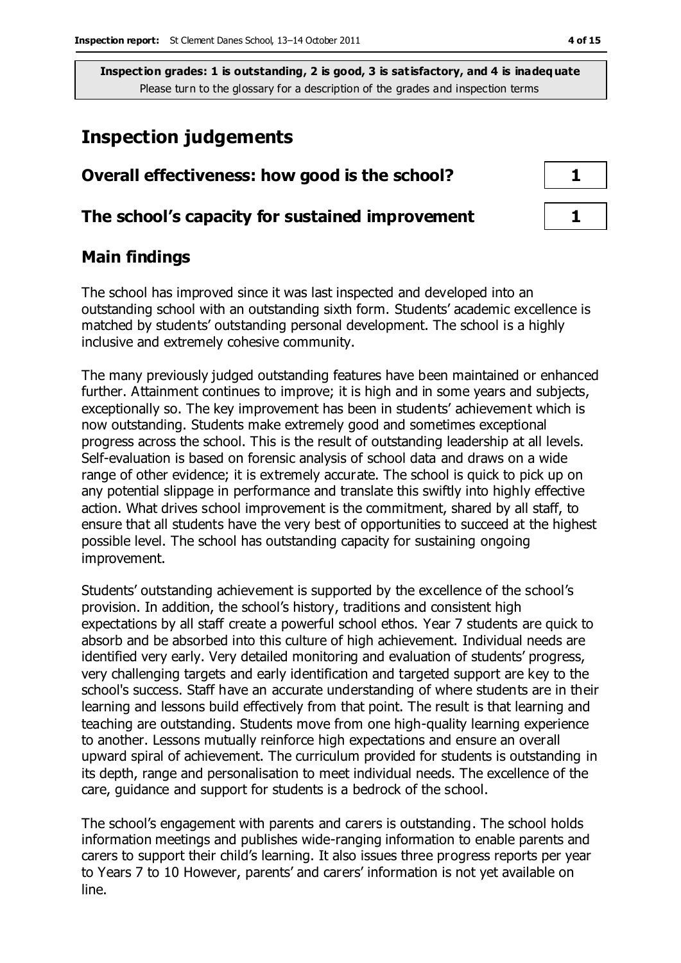# **Inspection judgements**

# **Overall effectiveness: how good is the school? 1**

### **The school's capacity for sustained improvement 1**

## **Main findings**

The school has improved since it was last inspected and developed into an outstanding school with an outstanding sixth form. Students' academic excellence is matched by students' outstanding personal development. The school is a highly inclusive and extremely cohesive community.

The many previously judged outstanding features have been maintained or enhanced further. Attainment continues to improve; it is high and in some years and subjects, exceptionally so. The key improvement has been in students' achievement which is now outstanding. Students make extremely good and sometimes exceptional progress across the school. This is the result of outstanding leadership at all levels. Self-evaluation is based on forensic analysis of school data and draws on a wide range of other evidence; it is extremely accurate. The school is quick to pick up on any potential slippage in performance and translate this swiftly into highly effective action. What drives school improvement is the commitment, shared by all staff, to ensure that all students have the very best of opportunities to succeed at the highest possible level. The school has outstanding capacity for sustaining ongoing improvement.

Students' outstanding achievement is supported by the excellence of the school's provision. In addition, the school's history, traditions and consistent high expectations by all staff create a powerful school ethos. Year 7 students are quick to absorb and be absorbed into this culture of high achievement. Individual needs are identified very early. Very detailed monitoring and evaluation of students' progress, very challenging targets and early identification and targeted support are key to the school's success. Staff have an accurate understanding of where students are in their learning and lessons build effectively from that point. The result is that learning and teaching are outstanding. Students move from one high-quality learning experience to another. Lessons mutually reinforce high expectations and ensure an overall upward spiral of achievement. The curriculum provided for students is outstanding in its depth, range and personalisation to meet individual needs. The excellence of the care, guidance and support for students is a bedrock of the school.

The school's engagement with parents and carers is outstanding. The school holds information meetings and publishes wide-ranging information to enable parents and carers to support their child's learning. It also issues three progress reports per year to Years 7 to 10 However, parents' and carers' information is not yet available on line.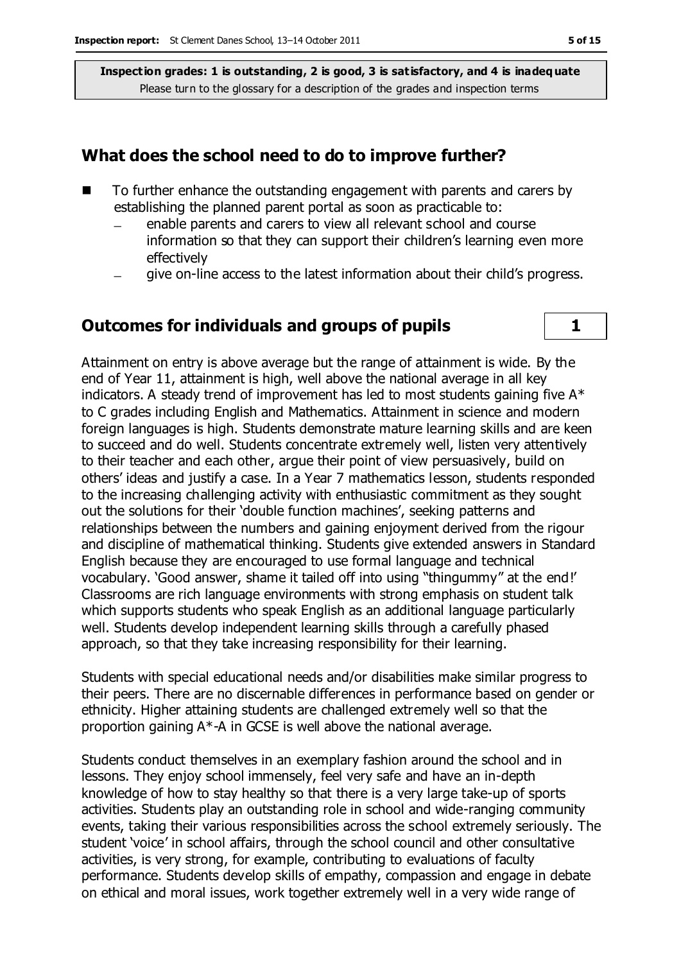#### **What does the school need to do to improve further?**

- $\blacksquare$  To further enhance the outstanding engagement with parents and carers by establishing the planned parent portal as soon as practicable to:
	- enable parents and carers to view all relevant school and course information so that they can support their children's learning even more effectively
	- give on-line access to the latest information about their child's progress.

## **Outcomes for individuals and groups of pupils 1**

Attainment on entry is above average but the range of attainment is wide. By the end of Year 11, attainment is high, well above the national average in all key indicators. A steady trend of improvement has led to most students gaining five  $A^*$ to C grades including English and Mathematics. Attainment in science and modern foreign languages is high. Students demonstrate mature learning skills and are keen to succeed and do well. Students concentrate extremely well, listen very attentively to their teacher and each other, argue their point of view persuasively, build on others' ideas and justify a case. In a Year 7 mathematics lesson, students responded to the increasing challenging activity with enthusiastic commitment as they sought out the solutions for their 'double function machines', seeking patterns and relationships between the numbers and gaining enjoyment derived from the rigour and discipline of mathematical thinking. Students give extended answers in Standard English because they are encouraged to use formal language and technical vocabulary. 'Good answer, shame it tailed off into using "thingummy" at the end!' Classrooms are rich language environments with strong emphasis on student talk which supports students who speak English as an additional language particularly well. Students develop independent learning skills through a carefully phased approach, so that they take increasing responsibility for their learning.

Students with special educational needs and/or disabilities make similar progress to their peers. There are no discernable differences in performance based on gender or ethnicity. Higher attaining students are challenged extremely well so that the proportion gaining A\*-A in GCSE is well above the national average.

Students conduct themselves in an exemplary fashion around the school and in lessons. They enjoy school immensely, feel very safe and have an in-depth knowledge of how to stay healthy so that there is a very large take-up of sports activities. Students play an outstanding role in school and wide-ranging community events, taking their various responsibilities across the school extremely seriously. The student 'voice' in school affairs, through the school council and other consultative activities, is very strong, for example, contributing to evaluations of faculty performance. Students develop skills of empathy, compassion and engage in debate on ethical and moral issues, work together extremely well in a very wide range of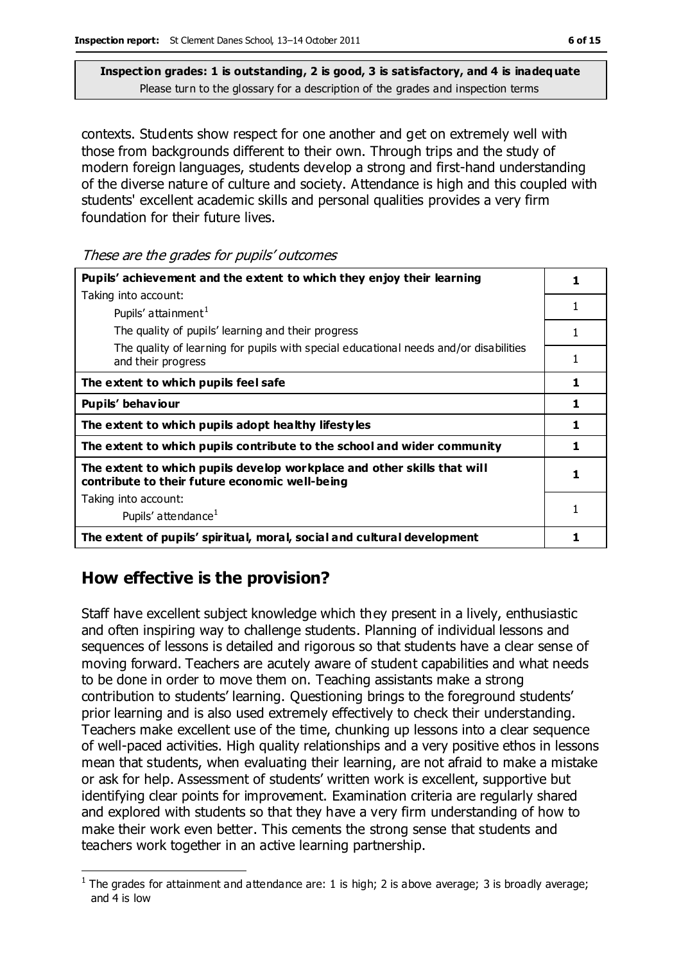contexts. Students show respect for one another and get on extremely well with those from backgrounds different to their own. Through trips and the study of modern foreign languages, students develop a strong and first-hand understanding of the diverse nature of culture and society. Attendance is high and this coupled with students' excellent academic skills and personal qualities provides a very firm foundation for their future lives.

These are the grades for pupils' outcomes

| Pupils' achievement and the extent to which they enjoy their learning                                                     |   |
|---------------------------------------------------------------------------------------------------------------------------|---|
| Taking into account:                                                                                                      |   |
| Pupils' attainment <sup>1</sup>                                                                                           | 1 |
| The quality of pupils' learning and their progress                                                                        |   |
| The quality of learning for pupils with special educational needs and/or disabilities<br>and their progress               | 1 |
| The extent to which pupils feel safe                                                                                      | 1 |
| Pupils' behaviour                                                                                                         | 1 |
| The extent to which pupils adopt healthy lifestyles                                                                       | 1 |
| The extent to which pupils contribute to the school and wider community                                                   | 1 |
| The extent to which pupils develop workplace and other skills that will<br>contribute to their future economic well-being |   |
| Taking into account:                                                                                                      |   |
| Pupils' attendance <sup>1</sup>                                                                                           |   |
| The extent of pupils' spiritual, moral, social and cultural development                                                   |   |

## **How effective is the provision?**

 $\overline{a}$ 

Staff have excellent subject knowledge which they present in a lively, enthusiastic and often inspiring way to challenge students. Planning of individual lessons and sequences of lessons is detailed and rigorous so that students have a clear sense of moving forward. Teachers are acutely aware of student capabilities and what needs to be done in order to move them on. Teaching assistants make a strong contribution to students' learning. Questioning brings to the foreground students' prior learning and is also used extremely effectively to check their understanding. Teachers make excellent use of the time, chunking up lessons into a clear sequence of well-paced activities. High quality relationships and a very positive ethos in lessons mean that students, when evaluating their learning, are not afraid to make a mistake or ask for help. Assessment of students' written work is excellent, supportive but identifying clear points for improvement. Examination criteria are regularly shared and explored with students so that they have a very firm understanding of how to make their work even better. This cements the strong sense that students and teachers work together in an active learning partnership.

<sup>&</sup>lt;sup>1</sup> The grades for attainment and attendance are: 1 is high; 2 is above average; 3 is broadly average; and 4 is low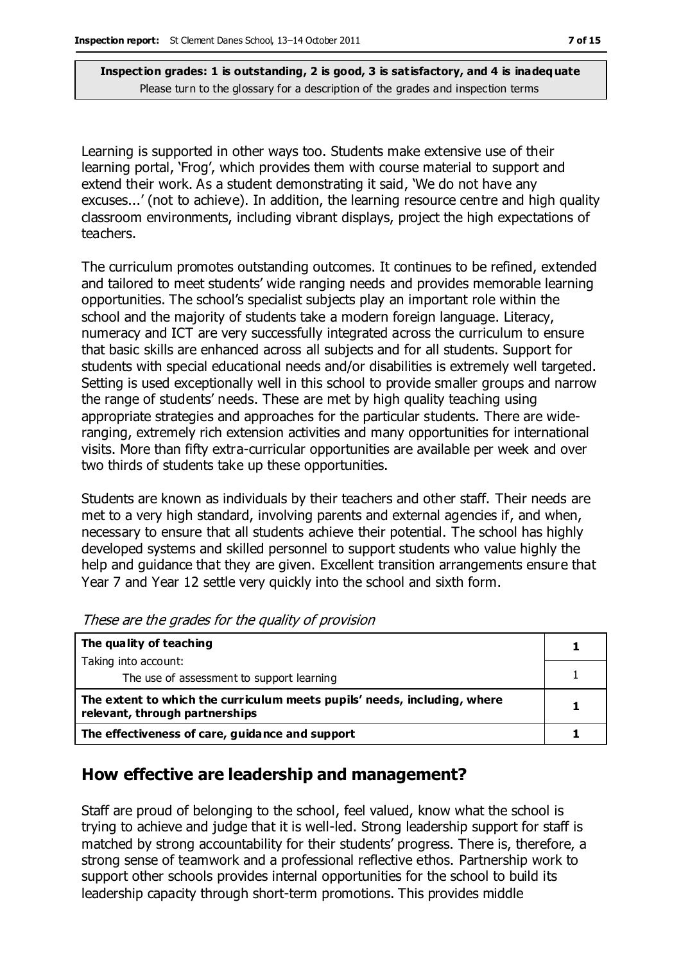Learning is supported in other ways too. Students make extensive use of their learning portal, 'Frog', which provides them with course material to support and extend their work. As a student demonstrating it said, 'We do not have any excuses...' (not to achieve). In addition, the learning resource centre and high quality classroom environments, including vibrant displays, project the high expectations of teachers.

The curriculum promotes outstanding outcomes. It continues to be refined, extended and tailored to meet students' wide ranging needs and provides memorable learning opportunities. The school's specialist subjects play an important role within the school and the majority of students take a modern foreign language. Literacy, numeracy and ICT are very successfully integrated across the curriculum to ensure that basic skills are enhanced across all subjects and for all students. Support for students with special educational needs and/or disabilities is extremely well targeted. Setting is used exceptionally well in this school to provide smaller groups and narrow the range of students' needs. These are met by high quality teaching using appropriate strategies and approaches for the particular students. There are wideranging, extremely rich extension activities and many opportunities for international visits. More than fifty extra-curricular opportunities are available per week and over two thirds of students take up these opportunities.

Students are known as individuals by their teachers and other staff. Their needs are met to a very high standard, involving parents and external agencies if, and when, necessary to ensure that all students achieve their potential. The school has highly developed systems and skilled personnel to support students who value highly the help and guidance that they are given. Excellent transition arrangements ensure that Year 7 and Year 12 settle very quickly into the school and sixth form.

| The quality of teaching                                                                                    |  |
|------------------------------------------------------------------------------------------------------------|--|
| Taking into account:                                                                                       |  |
| The use of assessment to support learning                                                                  |  |
| The extent to which the curriculum meets pupils' needs, including, where<br>relevant, through partnerships |  |
| The effectiveness of care, guidance and support                                                            |  |

These are the grades for the quality of provision

#### **How effective are leadership and management?**

Staff are proud of belonging to the school, feel valued, know what the school is trying to achieve and judge that it is well-led. Strong leadership support for staff is matched by strong accountability for their students' progress. There is, therefore, a strong sense of teamwork and a professional reflective ethos. Partnership work to support other schools provides internal opportunities for the school to build its leadership capacity through short-term promotions. This provides middle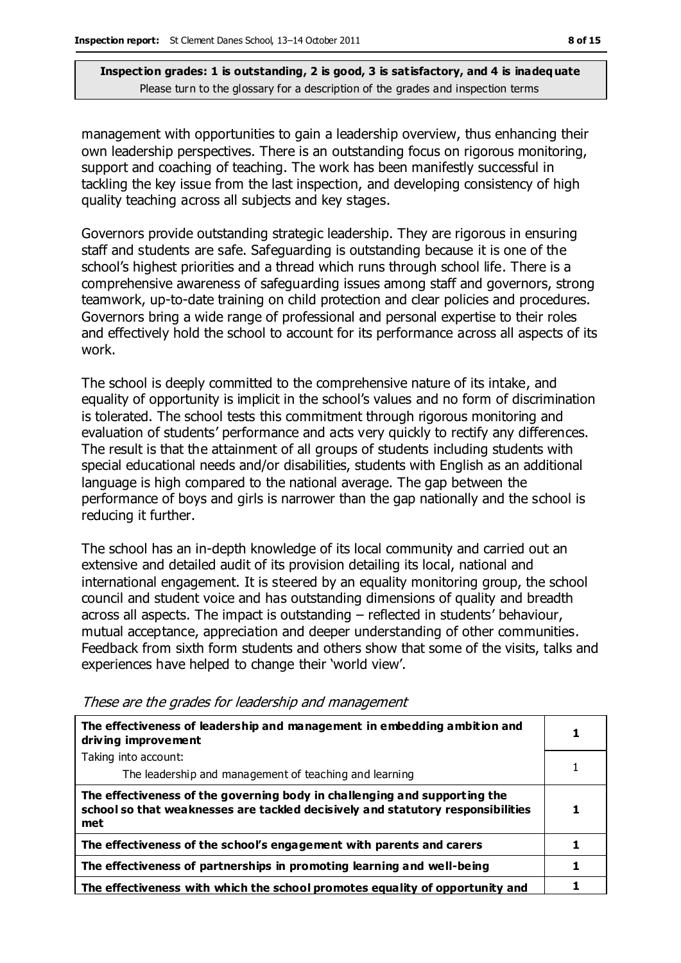management with opportunities to gain a leadership overview, thus enhancing their own leadership perspectives. There is an outstanding focus on rigorous monitoring, support and coaching of teaching. The work has been manifestly successful in tackling the key issue from the last inspection, and developing consistency of high quality teaching across all subjects and key stages.

Governors provide outstanding strategic leadership. They are rigorous in ensuring staff and students are safe. Safeguarding is outstanding because it is one of the school's highest priorities and a thread which runs through school life. There is a comprehensive awareness of safeguarding issues among staff and governors, strong teamwork, up-to-date training on child protection and clear policies and procedures. Governors bring a wide range of professional and personal expertise to their roles and effectively hold the school to account for its performance across all aspects of its work.

The school is deeply committed to the comprehensive nature of its intake, and equality of opportunity is implicit in the school's values and no form of discrimination is tolerated. The school tests this commitment through rigorous monitoring and evaluation of students' performance and acts very quickly to rectify any differences. The result is that the attainment of all groups of students including students with special educational needs and/or disabilities, students with English as an additional language is high compared to the national average. The gap between the performance of boys and girls is narrower than the gap nationally and the school is reducing it further.

The school has an in-depth knowledge of its local community and carried out an extensive and detailed audit of its provision detailing its local, national and international engagement. It is steered by an equality monitoring group, the school council and student voice and has outstanding dimensions of quality and breadth across all aspects. The impact is outstanding – reflected in students' behaviour, mutual acceptance, appreciation and deeper understanding of other communities. Feedback from sixth form students and others show that some of the visits, talks and experiences have helped to change their 'world view'.

| The effectiveness of leadership and management in embedding ambition and<br>driving improvement                                                                     |  |
|---------------------------------------------------------------------------------------------------------------------------------------------------------------------|--|
| Taking into account:                                                                                                                                                |  |
| The leadership and management of teaching and learning                                                                                                              |  |
| The effectiveness of the governing body in challenging and supporting the<br>school so that weaknesses are tackled decisively and statutory responsibilities<br>met |  |
| The effectiveness of the school's engagement with parents and carers                                                                                                |  |
| The effectiveness of partnerships in promoting learning and well-being                                                                                              |  |
| The effectiveness with which the school promotes equality of opportunity and                                                                                        |  |

These are the grades for leadership and management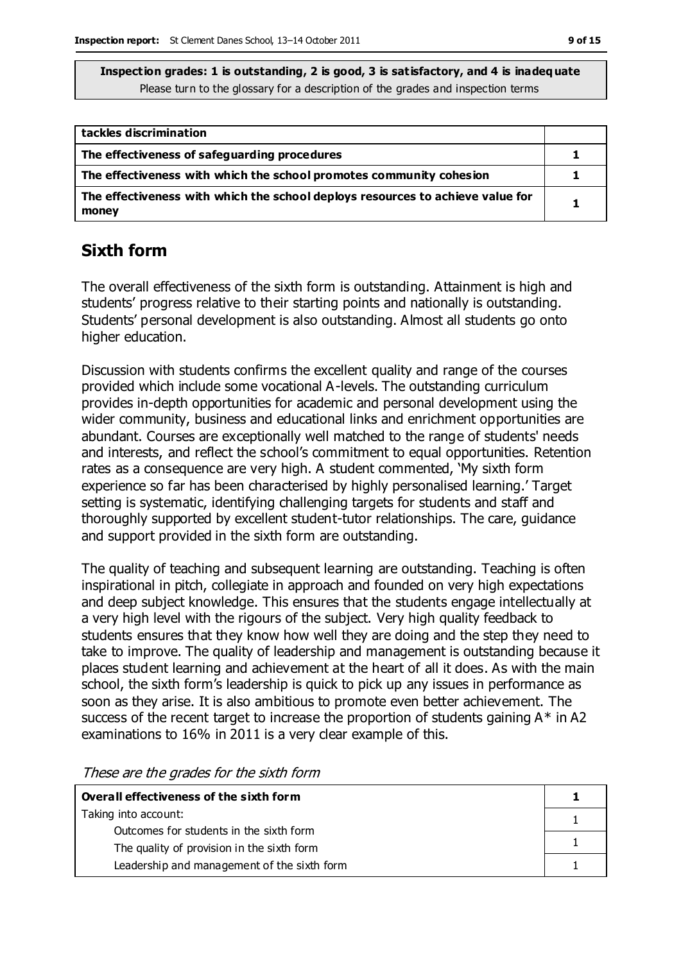| tackles discrimination                                                                  |  |
|-----------------------------------------------------------------------------------------|--|
| The effectiveness of safeguarding procedures                                            |  |
| The effectiveness with which the school promotes community cohesion                     |  |
| The effectiveness with which the school deploys resources to achieve value for<br>money |  |

## **Sixth form**

The overall effectiveness of the sixth form is outstanding. Attainment is high and students' progress relative to their starting points and nationally is outstanding. Students' personal development is also outstanding. Almost all students go onto higher education.

Discussion with students confirms the excellent quality and range of the courses provided which include some vocational A-levels. The outstanding curriculum provides in-depth opportunities for academic and personal development using the wider community, business and educational links and enrichment opportunities are abundant. Courses are exceptionally well matched to the range of students' needs and interests, and reflect the school's commitment to equal opportunities. Retention rates as a consequence are very high. A student commented, 'My sixth form experience so far has been characterised by highly personalised learning.' Target setting is systematic, identifying challenging targets for students and staff and thoroughly supported by excellent student-tutor relationships. The care, guidance and support provided in the sixth form are outstanding.

The quality of teaching and subsequent learning are outstanding. Teaching is often inspirational in pitch, collegiate in approach and founded on very high expectations and deep subject knowledge. This ensures that the students engage intellectually at a very high level with the rigours of the subject. Very high quality feedback to students ensures that they know how well they are doing and the step they need to take to improve. The quality of leadership and management is outstanding because it places student learning and achievement at the heart of all it does. As with the main school, the sixth form's leadership is quick to pick up any issues in performance as soon as they arise. It is also ambitious to promote even better achievement. The success of the recent target to increase the proportion of students gaining  $A^*$  in A2 examinations to 16% in 2011 is a very clear example of this.

These are the grades for the sixth form

| Overall effectiveness of the sixth form     |  |
|---------------------------------------------|--|
| Taking into account:                        |  |
| Outcomes for students in the sixth form     |  |
| The quality of provision in the sixth form  |  |
| Leadership and management of the sixth form |  |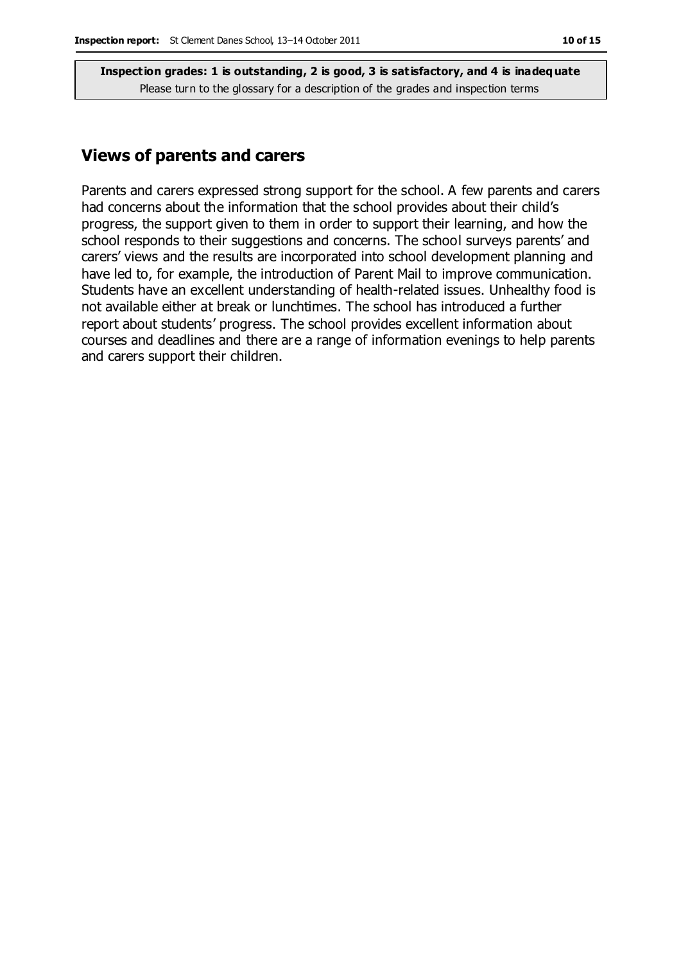#### **Views of parents and carers**

Parents and carers expressed strong support for the school. A few parents and carers had concerns about the information that the school provides about their child's progress, the support given to them in order to support their learning, and how the school responds to their suggestions and concerns. The school surveys parents' and carers' views and the results are incorporated into school development planning and have led to, for example, the introduction of Parent Mail to improve communication. Students have an excellent understanding of health-related issues. Unhealthy food is not available either at break or lunchtimes. The school has introduced a further report about students' progress. The school provides excellent information about courses and deadlines and there are a range of information evenings to help parents and carers support their children.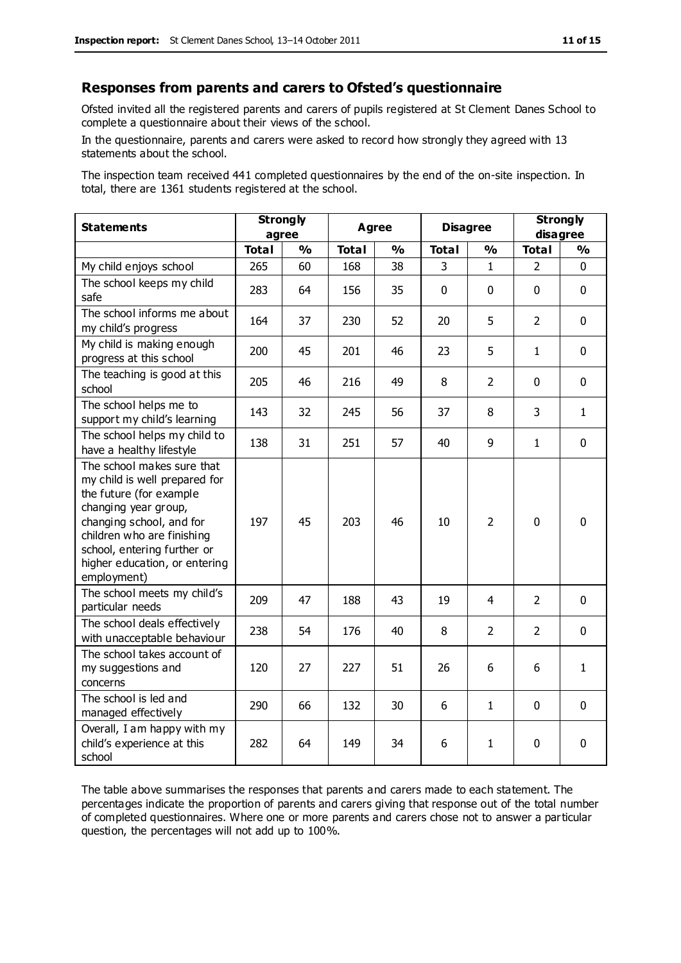#### **Responses from parents and carers to Ofsted's questionnaire**

Ofsted invited all the registered parents and carers of pupils registered at St Clement Danes School to complete a questionnaire about their views of the school.

In the questionnaire, parents and carers were asked to record how strongly they agreed with 13 statements about the school.

The inspection team received 441 completed questionnaires by the end of the on-site inspection. In total, there are 1361 students registered at the school.

| <b>Statements</b>                                                                                                                                                                                                                                       | <b>Strongly</b><br>agree |               | Agree<br><b>Disagree</b> |               |              | <b>Strongly</b><br>disagree |                |               |
|---------------------------------------------------------------------------------------------------------------------------------------------------------------------------------------------------------------------------------------------------------|--------------------------|---------------|--------------------------|---------------|--------------|-----------------------------|----------------|---------------|
|                                                                                                                                                                                                                                                         | <b>Total</b>             | $\frac{1}{2}$ | <b>Total</b>             | $\frac{1}{2}$ | <b>Total</b> | $\frac{1}{2}$               | <b>Total</b>   | $\frac{1}{2}$ |
| My child enjoys school                                                                                                                                                                                                                                  | 265                      | 60            | 168                      | 38            | 3            | $\mathbf{1}$                | $\overline{2}$ | $\mathbf 0$   |
| The school keeps my child<br>safe                                                                                                                                                                                                                       | 283                      | 64            | 156                      | 35            | $\mathbf{0}$ | $\mathbf 0$                 | $\mathbf 0$    | $\mathbf 0$   |
| The school informs me about<br>my child's progress                                                                                                                                                                                                      | 164                      | 37            | 230                      | 52            | 20           | 5                           | $\overline{2}$ | $\mathbf 0$   |
| My child is making enough<br>progress at this school                                                                                                                                                                                                    | 200                      | 45            | 201                      | 46            | 23           | 5                           | 1              | $\mathbf 0$   |
| The teaching is good at this<br>school                                                                                                                                                                                                                  | 205                      | 46            | 216                      | 49            | 8            | $\overline{2}$              | $\mathbf 0$    | $\mathbf 0$   |
| The school helps me to<br>support my child's learning                                                                                                                                                                                                   | 143                      | 32            | 245                      | 56            | 37           | 8                           | 3              | $\mathbf{1}$  |
| The school helps my child to<br>have a healthy lifestyle                                                                                                                                                                                                | 138                      | 31            | 251                      | 57            | 40           | 9                           | $\mathbf 1$    | $\mathbf 0$   |
| The school makes sure that<br>my child is well prepared for<br>the future (for example<br>changing year group,<br>changing school, and for<br>children who are finishing<br>school, entering further or<br>higher education, or entering<br>employment) | 197                      | 45            | 203                      | 46            | 10           | $\overline{2}$              | $\mathbf{0}$   | 0             |
| The school meets my child's<br>particular needs                                                                                                                                                                                                         | 209                      | 47            | 188                      | 43            | 19           | 4                           | $\overline{2}$ | $\mathbf 0$   |
| The school deals effectively<br>with unacceptable behaviour                                                                                                                                                                                             | 238                      | 54            | 176                      | 40            | 8            | 2                           | $\overline{2}$ | $\mathbf 0$   |
| The school takes account of<br>my suggestions and<br>concerns                                                                                                                                                                                           | 120                      | 27            | 227                      | 51            | 26           | 6                           | 6              | $\mathbf{1}$  |
| The school is led and<br>managed effectively                                                                                                                                                                                                            | 290                      | 66            | 132                      | 30            | 6            | 1                           | $\mathbf 0$    | $\mathbf 0$   |
| Overall, I am happy with my<br>child's experience at this<br>school                                                                                                                                                                                     | 282                      | 64            | 149                      | 34            | 6            | 1                           | $\mathbf 0$    | 0             |

The table above summarises the responses that parents and carers made to each statement. The percentages indicate the proportion of parents and carers giving that response out of the total number of completed questionnaires. Where one or more parents and carers chose not to answer a particular question, the percentages will not add up to 100%.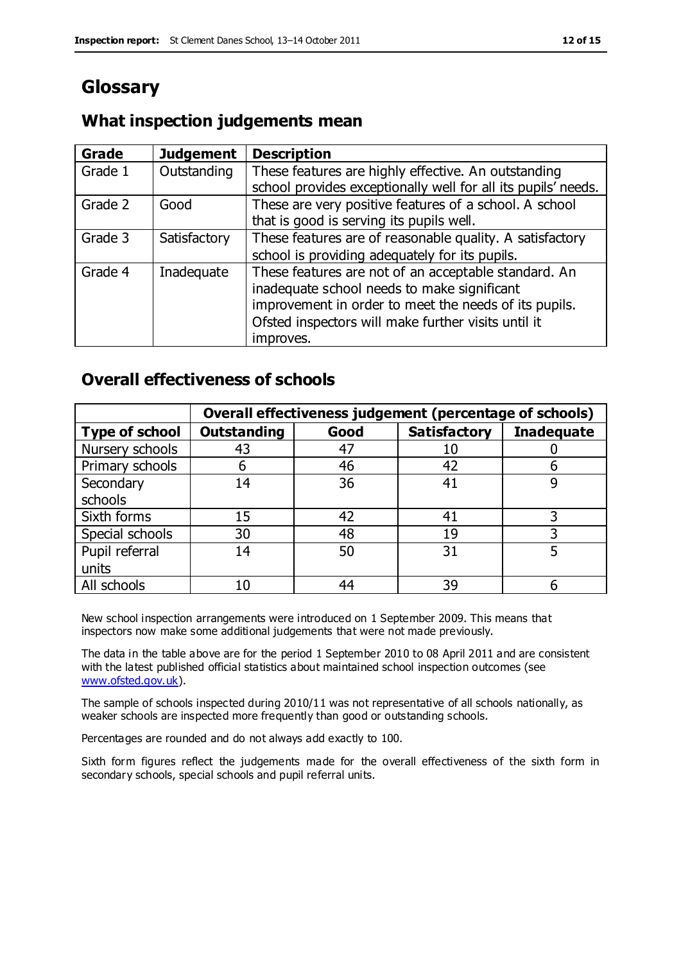# **Glossary**

## **What inspection judgements mean**

| Grade   | <b>Judgement</b> | <b>Description</b>                                                                                                                                                                                                               |
|---------|------------------|----------------------------------------------------------------------------------------------------------------------------------------------------------------------------------------------------------------------------------|
| Grade 1 | Outstanding      | These features are highly effective. An outstanding<br>school provides exceptionally well for all its pupils' needs.                                                                                                             |
| Grade 2 | Good             | These are very positive features of a school. A school<br>that is good is serving its pupils well.                                                                                                                               |
| Grade 3 | Satisfactory     | These features are of reasonable quality. A satisfactory<br>school is providing adequately for its pupils.                                                                                                                       |
| Grade 4 | Inadequate       | These features are not of an acceptable standard. An<br>inadequate school needs to make significant<br>improvement in order to meet the needs of its pupils.<br>Ofsted inspectors will make further visits until it<br>improves. |

## **Overall effectiveness of schools**

|                       |                    |      | Overall effectiveness judgement (percentage of schools) |                   |
|-----------------------|--------------------|------|---------------------------------------------------------|-------------------|
| <b>Type of school</b> | <b>Outstanding</b> | Good | <b>Satisfactory</b>                                     | <b>Inadequate</b> |
| Nursery schools       | 43                 | 47   | 10                                                      |                   |
| Primary schools       | 6                  | 46   | 42                                                      |                   |
| Secondary             | 14                 | 36   | 41                                                      |                   |
| schools               |                    |      |                                                         |                   |
| Sixth forms           | 15                 | 42   | 41                                                      | 3                 |
| Special schools       | 30                 | 48   | 19                                                      |                   |
| Pupil referral        | 14                 | 50   | 31                                                      |                   |
| units                 |                    |      |                                                         |                   |
| All schools           | 10                 | 44   | 39                                                      |                   |

New school inspection arrangements were introduced on 1 September 2009. This means that inspectors now make some additional judgements that were not made previously.

The data in the table above are for the period 1 September 2010 to 08 April 2011 and are consistent with the latest published official statistics about maintained school inspection outcomes (see [www.ofsted.gov.uk\)](http://www.ofsted.gov.uk/).

The sample of schools inspected during 2010/11 was not representative of all schools nationally, as weaker schools are inspected more frequently than good or outstanding schools.

Percentages are rounded and do not always add exactly to 100.

Sixth form figures reflect the judgements made for the overall effectiveness of the sixth form in secondary schools, special schools and pupil referral units.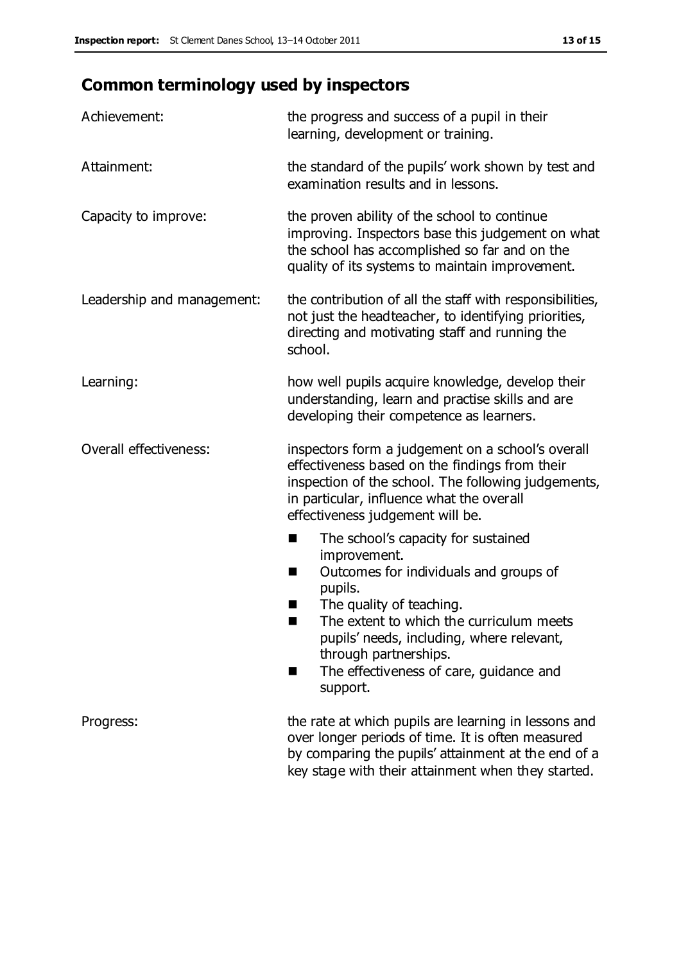# **Common terminology used by inspectors**

| Achievement:               | the progress and success of a pupil in their<br>learning, development or training.                                                                                                                                                                                                                                             |  |
|----------------------------|--------------------------------------------------------------------------------------------------------------------------------------------------------------------------------------------------------------------------------------------------------------------------------------------------------------------------------|--|
| Attainment:                | the standard of the pupils' work shown by test and<br>examination results and in lessons.                                                                                                                                                                                                                                      |  |
| Capacity to improve:       | the proven ability of the school to continue<br>improving. Inspectors base this judgement on what<br>the school has accomplished so far and on the<br>quality of its systems to maintain improvement.                                                                                                                          |  |
| Leadership and management: | the contribution of all the staff with responsibilities,<br>not just the headteacher, to identifying priorities,<br>directing and motivating staff and running the<br>school.                                                                                                                                                  |  |
| Learning:                  | how well pupils acquire knowledge, develop their<br>understanding, learn and practise skills and are<br>developing their competence as learners.                                                                                                                                                                               |  |
| Overall effectiveness:     | inspectors form a judgement on a school's overall<br>effectiveness based on the findings from their<br>inspection of the school. The following judgements,<br>in particular, influence what the overall<br>effectiveness judgement will be.                                                                                    |  |
|                            | The school's capacity for sustained<br>improvement.<br>Outcomes for individuals and groups of<br>ш<br>pupils.<br>The quality of teaching.<br>The extent to which the curriculum meets<br>a s<br>pupils' needs, including, where relevant,<br>through partnerships.<br>The effectiveness of care, guidance and<br>■<br>support. |  |
| Progress:                  | the rate at which pupils are learning in lessons and<br>over longer periods of time. It is often measured<br>by comparing the pupils' attainment at the end of a<br>key stage with their attainment when they started.                                                                                                         |  |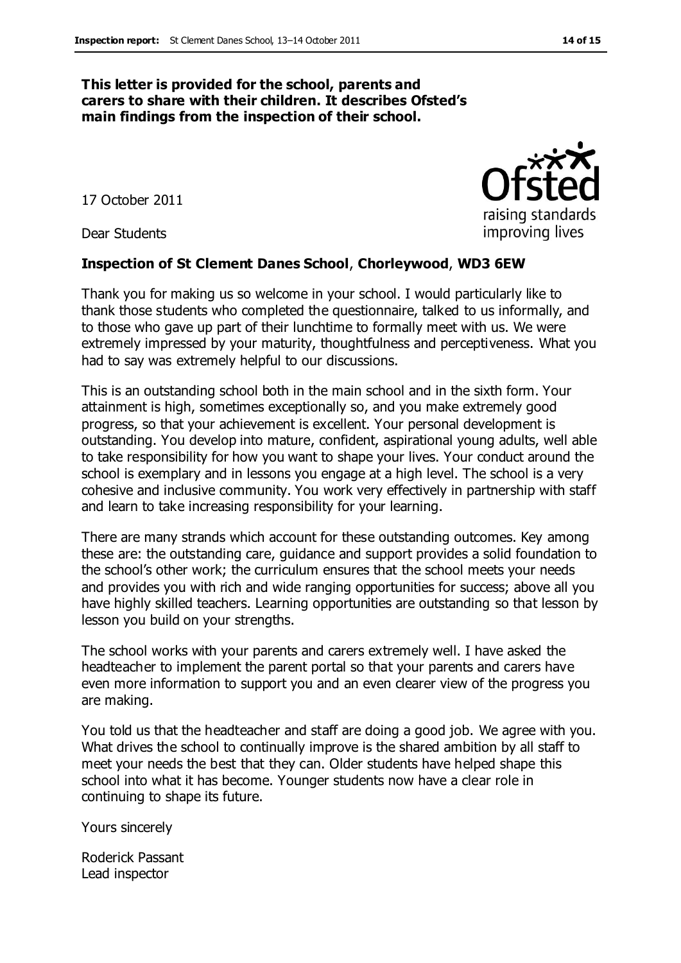#### **This letter is provided for the school, parents and carers to share with their children. It describes Ofsted's main findings from the inspection of their school.**

17 October 2011

Dear Students

#### **Inspection of St Clement Danes School**, **Chorleywood**, **WD3 6EW**

Thank you for making us so welcome in your school. I would particularly like to thank those students who completed the questionnaire, talked to us informally, and to those who gave up part of their lunchtime to formally meet with us. We were extremely impressed by your maturity, thoughtfulness and perceptiveness. What you had to say was extremely helpful to our discussions.

This is an outstanding school both in the main school and in the sixth form. Your attainment is high, sometimes exceptionally so, and you make extremely good progress, so that your achievement is excellent. Your personal development is outstanding. You develop into mature, confident, aspirational young adults, well able to take responsibility for how you want to shape your lives. Your conduct around the school is exemplary and in lessons you engage at a high level. The school is a very cohesive and inclusive community. You work very effectively in partnership with staff and learn to take increasing responsibility for your learning.

There are many strands which account for these outstanding outcomes. Key among these are: the outstanding care, guidance and support provides a solid foundation to the school's other work; the curriculum ensures that the school meets your needs and provides you with rich and wide ranging opportunities for success; above all you have highly skilled teachers. Learning opportunities are outstanding so that lesson by lesson you build on your strengths.

The school works with your parents and carers extremely well. I have asked the headteacher to implement the parent portal so that your parents and carers have even more information to support you and an even clearer view of the progress you are making.

You told us that the headteacher and staff are doing a good job. We agree with you. What drives the school to continually improve is the shared ambition by all staff to meet your needs the best that they can. Older students have helped shape this school into what it has become. Younger students now have a clear role in continuing to shape its future.

Yours sincerely

Roderick Passant Lead inspector